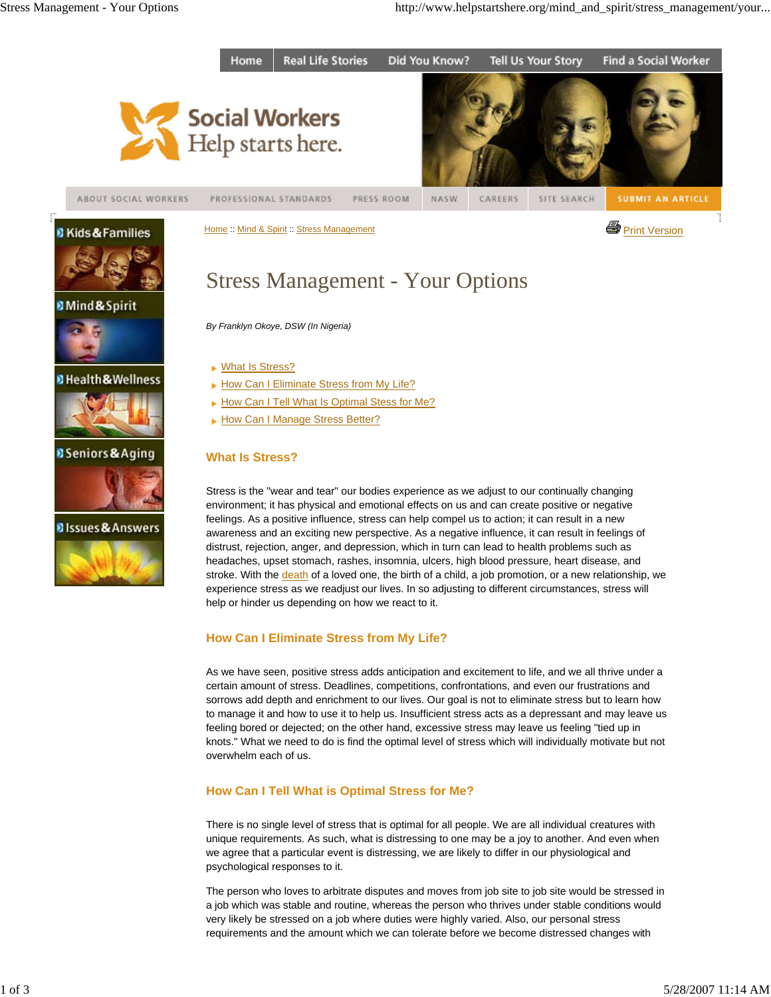

Home :: Mind & Spirit :: Stress Management Print Version



## **Mind & Spirit**



**D** Health & Wellness









# Stress Management - Your Options

*By Franklyn Okoye, DSW (In Nigeria)*

- ▶ What Is Stress?
- How Can I Eliminate Stress from My Life?
- How Can I Tell What Is Optimal Stess for Me?
- How Can I Manage Stress Better?

# **What Is Stress?**

Stress is the "wear and tear" our bodies experience as we adjust to our continually changing environment; it has physical and emotional effects on us and can create positive or negative feelings. As a positive influence, stress can help compel us to action; it can result in a new awareness and an exciting new perspective. As a negative influence, it can result in feelings of distrust, rejection, anger, and depression, which in turn can lead to health problems such as headaches, upset stomach, rashes, insomnia, ulcers, high blood pressure, heart disease, and stroke. With the death of a loved one, the birth of a child, a job promotion, or a new relationship, we experience stress as we readjust our lives. In so adjusting to different circumstances, stress will help or hinder us depending on how we react to it.

# **How Can I Eliminate Stress from My Life?**

As we have seen, positive stress adds anticipation and excitement to life, and we all thrive under a certain amount of stress. Deadlines, competitions, confrontations, and even our frustrations and sorrows add depth and enrichment to our lives. Our goal is not to eliminate stress but to learn how to manage it and how to use it to help us. Insufficient stress acts as a depressant and may leave us feeling bored or dejected; on the other hand, excessive stress may leave us feeling "tied up in knots." What we need to do is find the optimal level of stress which will individually motivate but not overwhelm each of us.

# **How Can I Tell What is Optimal Stress for Me?**

There is no single level of stress that is optimal for all people. We are all individual creatures with unique requirements. As such, what is distressing to one may be a joy to another. And even when we agree that a particular event is distressing, we are likely to differ in our physiological and psychological responses to it.

The person who loves to arbitrate disputes and moves from job site to job site would be stressed in a job which was stable and routine, whereas the person who thrives under stable conditions would very likely be stressed on a job where duties were highly varied. Also, our personal stress requirements and the amount which we can tolerate before we become distressed changes with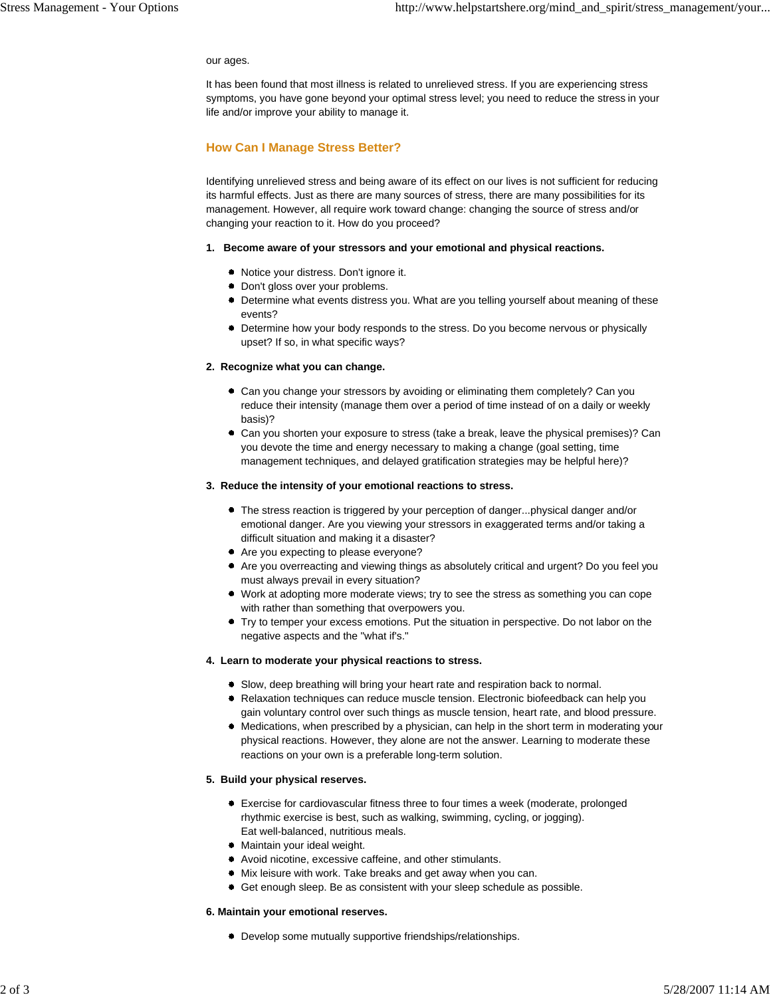#### our ages.

It has been found that most illness is related to unrelieved stress. If you are experiencing stress symptoms, you have gone beyond your optimal stress level; you need to reduce the stress in your life and/or improve your ability to manage it.

## **How Can I Manage Stress Better?**

Identifying unrelieved stress and being aware of its effect on our lives is not sufficient for reducing its harmful effects. Just as there are many sources of stress, there are many possibilities for its management. However, all require work toward change: changing the source of stress and/or changing your reaction to it. How do you proceed?

#### **1. Become aware of your stressors and your emotional and physical reactions.**

- Notice your distress. Don't ignore it.
- **•** Don't gloss over your problems.
- Determine what events distress you. What are you telling yourself about meaning of these events?
- Determine how your body responds to the stress. Do you become nervous or physically upset? If so, in what specific ways?

#### **2. Recognize what you can change.**

- Can you change your stressors by avoiding or eliminating them completely? Can you reduce their intensity (manage them over a period of time instead of on a daily or weekly basis)?
- Can you shorten your exposure to stress (take a break, leave the physical premises)? Can you devote the time and energy necessary to making a change (goal setting, time management techniques, and delayed gratification strategies may be helpful here)?

#### **3. Reduce the intensity of your emotional reactions to stress.**

- The stress reaction is triggered by your perception of danger...physical danger and/or emotional danger. Are you viewing your stressors in exaggerated terms and/or taking a difficult situation and making it a disaster?
- Are you expecting to please everyone?
- Are you overreacting and viewing things as absolutely critical and urgent? Do you feel you must always prevail in every situation?
- Work at adopting more moderate views; try to see the stress as something you can cope with rather than something that overpowers you.
- Try to temper your excess emotions. Put the situation in perspective. Do not labor on the negative aspects and the "what if's."

#### **4. Learn to moderate your physical reactions to stress.**

- Slow, deep breathing will bring your heart rate and respiration back to normal.
- Relaxation techniques can reduce muscle tension. Electronic biofeedback can help you gain voluntary control over such things as muscle tension, heart rate, and blood pressure.
- Medications, when prescribed by a physician, can help in the short term in moderating your physical reactions. However, they alone are not the answer. Learning to moderate these reactions on your own is a preferable long-term solution.

#### **5. Build your physical reserves.**

- Exercise for cardiovascular fitness three to four times a week (moderate, prolonged rhythmic exercise is best, such as walking, swimming, cycling, or jogging). Eat well-balanced, nutritious meals.
- Maintain your ideal weight.
- Avoid nicotine, excessive caffeine, and other stimulants.
- Mix leisure with work. Take breaks and get away when you can.
- Get enough sleep. Be as consistent with your sleep schedule as possible.

#### **6. Maintain your emotional reserves.**

Develop some mutually supportive friendships/relationships.